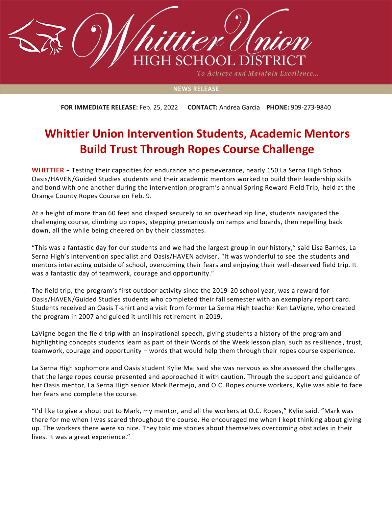

To Achieve and Maintain Excellence...

## **NEWS RELEASE**

**FOR IMMEDIATE RELEASE:** Feb. 25, 2022 **CONTACT:** Andrea Garcia **PHONE:** 909-273-9840

## **Whittier Union Intervention Students, Academic Mentors Build Trust Through Ropes Course Challenge**

**WHITTIER** – Testing their capacities for endurance and perseverance, nearly 150 La Serna High School Oasis/HAVEN/Guided Studies students and their academic mentors worked to build their leadership skills and bond with one another during the intervention program's annual Spring Reward Field Trip, held at the Orange County Ropes Course on Feb. 9.

At a height of more than 60 feet and clasped securely to an overhead zip line, students navigated the challenging course, climbing up ropes, stepping precariously on ramps and boards, then repelling back down, all the while being cheered on by their classmates.

"This was a fantastic day for our students and we had the largest group in our history," said Lisa Barnes, La Serna High's intervention specialist and Oasis/HAVEN adviser. "It was wonderful to see the students and mentors interacting outside of school, overcoming their fears and enjoying their well-deserved field trip. It was a fantastic day of teamwork, courage and opportunity."

The field trip, the program's first outdoor activity since the 2019-20 school year, was a reward for Oasis/HAVEN/Guided Studies students who completed their fall semester with an exemplary report card. Students received an Oasis T-shirt and a visit from former La Serna High teacher Ken LaVigne, who created the program in 2007 and guided it until his retirement in 2019.

LaVigne began the field trip with an inspirational speech, giving students a history of the program and highlighting concepts students learn as part of their Words of the Week lesson plan, such as resilience , trust, teamwork, courage and opportunity – words that would help them through their ropes course experience.

La Serna High sophomore and Oasis student Kylie Mai said she was nervous as she assessed the challenges that the large ropes course presented and approached it with caution. Through the support and guidance of her Oasis mentor, La Serna High senior Mark Bermejo, and O.C. Ropes course workers, Kylie was able to face her fears and complete the course.

"I'd like to give a shout out to Mark, my mentor, and all the workers at O.C. Ropes," Kylie said. "Mark was there for me when I was scared throughout the course. He encouraged me when I kept thinking about giving up. The workers there were so nice. They told me stories about themselves overcoming obstacles in their lives. It was a great experience."